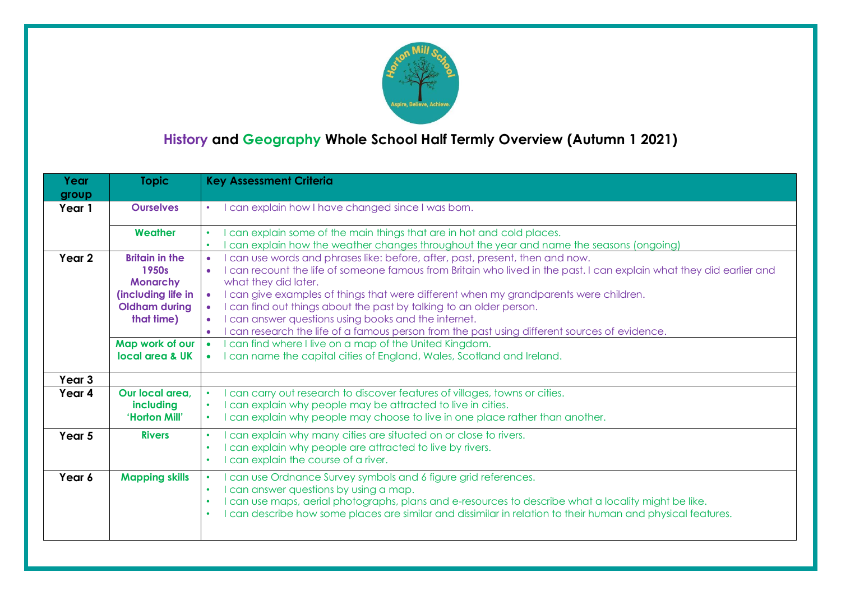

# **History and Geography Whole School Half Termly Overview (Autumn 1 2021)**

| Year<br>group | <b>Topic</b>                                                                                                                                        | <b>Key Assessment Criteria</b>                                                                                                                                                                                                                                                                                                                                                                                                                                                                                                                                                                                                                                                                                                                                                 |
|---------------|-----------------------------------------------------------------------------------------------------------------------------------------------------|--------------------------------------------------------------------------------------------------------------------------------------------------------------------------------------------------------------------------------------------------------------------------------------------------------------------------------------------------------------------------------------------------------------------------------------------------------------------------------------------------------------------------------------------------------------------------------------------------------------------------------------------------------------------------------------------------------------------------------------------------------------------------------|
| Year 1        | <b>Ourselves</b>                                                                                                                                    | can explain how I have changed since I was born.                                                                                                                                                                                                                                                                                                                                                                                                                                                                                                                                                                                                                                                                                                                               |
|               | Weather                                                                                                                                             | can explain some of the main things that are in hot and cold places.<br>can explain how the weather changes throughout the year and name the seasons (ongoing)<br>$\bullet$                                                                                                                                                                                                                                                                                                                                                                                                                                                                                                                                                                                                    |
| Year 2        | <b>Britain in the</b><br>1950s<br><b>Monarchy</b><br>(including life in<br><b>Oldham during</b><br>that time)<br>Map work of our<br>local area & UK | can use words and phrases like: before, after, past, present, then and now.<br>$\bullet$<br>I can recount the life of someone famous from Britain who lived in the past. I can explain what they did earlier and<br>$\bullet$<br>what they did later.<br>I can give examples of things that were different when my grandparents were children.<br>$\bullet$<br>can find out things about the past by talking to an older person.<br>$\bullet$<br>I can answer questions using books and the internet.<br>$\bullet$<br>I can research the life of a famous person from the past using different sources of evidence.<br>$\bullet$<br>can find where I live on a map of the United Kingdom.<br>$\bullet$<br>can name the capital cities of England, Wales, Scotland and Ireland. |
| Year 3        |                                                                                                                                                     |                                                                                                                                                                                                                                                                                                                                                                                                                                                                                                                                                                                                                                                                                                                                                                                |
| Year 4        | Our local area.<br>including<br>'Horton Mill'                                                                                                       | can carry out research to discover features of villages, towns or cities.<br>$\bullet$<br>can explain why people may be attracted to live in cities.<br>$\bullet$<br>can explain why people may choose to live in one place rather than another.<br>$\bullet$                                                                                                                                                                                                                                                                                                                                                                                                                                                                                                                  |
| Year 5        | <b>Rivers</b>                                                                                                                                       | can explain why many cities are situated on or close to rivers.<br>$\bullet$<br>can explain why people are attracted to live by rivers.<br>$\bullet$<br>can explain the course of a river.<br>$\bullet$                                                                                                                                                                                                                                                                                                                                                                                                                                                                                                                                                                        |
| Year 6        | <b>Mapping skills</b>                                                                                                                               | can use Ordnance Survey symbols and 6 figure grid references.<br>$\bullet$<br>I can answer questions by using a map.<br>$\bullet$<br>I can use maps, aerial photographs, plans and e-resources to describe what a locality might be like.<br>$\bullet$<br>I can describe how some places are similar and dissimilar in relation to their human and physical features.<br>$\bullet$                                                                                                                                                                                                                                                                                                                                                                                             |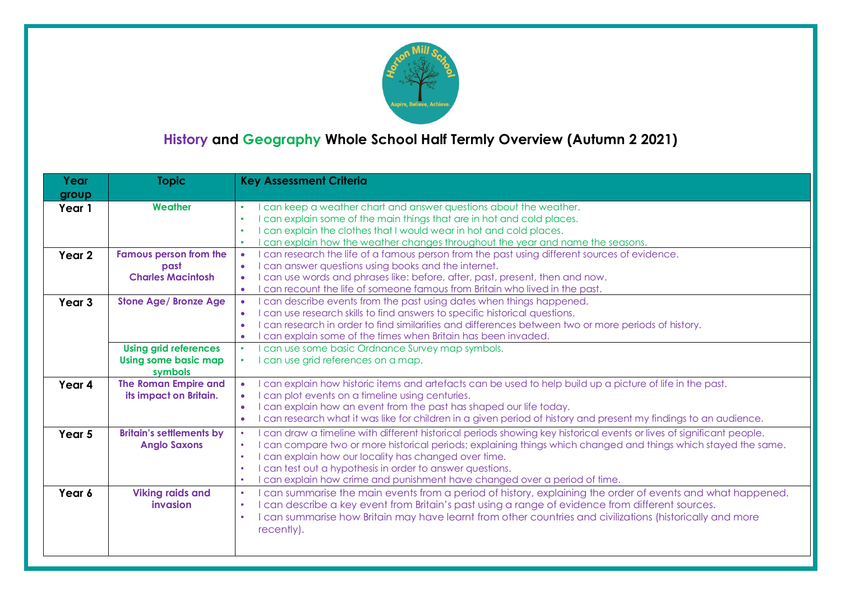

## **History and Geography Whole School Half Termly Overview (Autumn 2 2021)**

| Year              | <b>Topic</b>                    | <b>Key Assessment Criteria</b>                                                                                                   |
|-------------------|---------------------------------|----------------------------------------------------------------------------------------------------------------------------------|
| group             |                                 |                                                                                                                                  |
| Year 1            | Weather                         | can keep a weather chart and answer questions about the weather.<br>$\bullet$                                                    |
|                   |                                 | I can explain some of the main things that are in hot and cold places.<br>$\bullet$                                              |
|                   |                                 | I can explain the clothes that I would wear in hot and cold places.<br>$\bullet$                                                 |
|                   |                                 | can explain how the weather changes throughout the year and name the seasons.<br>$\bullet$                                       |
| Year 2            | <b>Famous person from the</b>   | can research the life of a famous person from the past using different sources of evidence.                                      |
|                   | past                            | I can answer questions using books and the internet.<br>$\bullet$                                                                |
|                   | <b>Charles Macintosh</b>        | can use words and phrases like: before, after, past, present, then and now.<br>$\bullet$                                         |
|                   |                                 | can recount the life of someone famous from Britain who lived in the past.<br>$\bullet$                                          |
| Year <sub>3</sub> | <b>Stone Age/ Bronze Age</b>    | can describe events from the past using dates when things happened.<br>$\bullet$                                                 |
|                   |                                 | I can use research skills to find answers to specific historical questions.<br>$\bullet$                                         |
|                   |                                 | I can research in order to find similarities and differences between two or more periods of history.<br>$\bullet$                |
|                   |                                 | can explain some of the times when Britain has been invaded.<br>$\bullet$                                                        |
|                   | <b>Using grid references</b>    | can use some basic Ordnance Survey map symbols.<br>$\bullet$                                                                     |
|                   | <b>Using some basic map</b>     | can use grid references on a map.                                                                                                |
|                   | symbols                         |                                                                                                                                  |
| Year 4            | <b>The Roman Empire and</b>     | can explain how historic items and artefacts can be used to help build up a picture of life in the past.                         |
|                   | its impact on Britain.          | can plot events on a timeline using centuries.<br>$\bullet$                                                                      |
|                   |                                 | I can explain how an event from the past has shaped our life today.<br>$\bullet$                                                 |
|                   |                                 | I can research what it was like for children in a given period of history and present my findings to an audience.<br>$\bullet$   |
| Year 5            | <b>Britain's settlements by</b> | can draw a timeline with different historical periods showing key historical events or lives of significant people.<br>$\bullet$ |
|                   | <b>Anglo Saxons</b>             | I can compare two or more historical periods; explaining things which changed and things which stayed the same.<br>$\bullet$     |
|                   |                                 | I can explain how our locality has changed over time.<br>$\bullet$                                                               |
|                   |                                 | I can test out a hypothesis in order to answer questions.<br>$\bullet$                                                           |
|                   |                                 | can explain how crime and punishment have changed over a period of time.<br>$\bullet$                                            |
| Year 6            | <b>Viking raids and</b>         | can summarise the main events from a period of history, explaining the order of events and what happened.<br>$\bullet$           |
|                   | <i>invasion</i>                 | I can describe a key event from Britain's past using a range of evidence from different sources.<br>$\bullet$                    |
|                   |                                 | I can summarise how Britain may have learnt from other countries and civilizations (historically and more<br>$\bullet$           |
|                   |                                 | recently).                                                                                                                       |
|                   |                                 |                                                                                                                                  |
|                   |                                 |                                                                                                                                  |
|                   |                                 |                                                                                                                                  |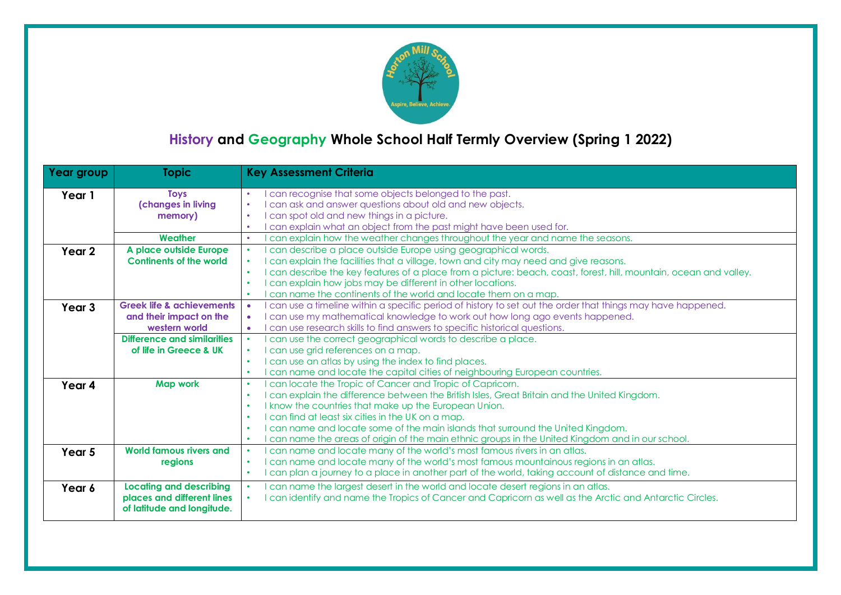

## **History and Geography Whole School Half Termly Overview (Spring 1 2022)**

| Year group        | <b>Topic</b>                         | <b>Key Assessment Criteria</b>                                                                                                |
|-------------------|--------------------------------------|-------------------------------------------------------------------------------------------------------------------------------|
| Year 1            | <b>Toys</b>                          | can recognise that some objects belonged to the past.<br>$\bullet$                                                            |
|                   | (changes in living                   | can ask and answer questions about old and new objects.<br>$\bullet$                                                          |
|                   | memory)                              | can spot old and new things in a picture.<br>$\bullet$                                                                        |
|                   |                                      | can explain what an object from the past might have been used for.<br>$\bullet$                                               |
|                   | Weather                              | can explain how the weather changes throughout the year and name the seasons.<br>$\bullet$                                    |
| Year 2            | A place outside Europe               | can describe a place outside Europe using geographical words.<br>$\bullet$                                                    |
|                   | <b>Continents of the world</b>       | can explain the facilities that a village, town and city may need and give reasons.<br>$\bullet$                              |
|                   |                                      | can describe the key features of a place from a picture: beach, coast, forest, hill, mountain, ocean and valley.<br>$\bullet$ |
|                   |                                      | I can explain how jobs may be different in other locations.<br>$\bullet$                                                      |
|                   |                                      | can name the continents of the world and locate them on a map.<br>$\bullet$                                                   |
| Year <sub>3</sub> | <b>Greek life &amp; achievements</b> | can use a timeline within a specific period of history to set out the order that things may have happened.<br>$\bullet$       |
|                   | and their impact on the              | can use my mathematical knowledge to work out how long ago events happened.                                                   |
|                   | western world                        | can use research skills to find answers to specific historical questions.<br>$\bullet$                                        |
|                   | Difference and similarities          | can use the correct geographical words to describe a place.<br>$\bullet$                                                      |
|                   | of life in Greece & UK               | I can use grid references on a map.<br>$\bullet$                                                                              |
|                   |                                      | I can use an atlas by using the index to find places.<br>$\bullet$                                                            |
|                   |                                      | can name and locate the capital cities of neighbouring European countries.<br>$\bullet$                                       |
| Year 4            | <b>Map work</b>                      | can locate the Tropic of Cancer and Tropic of Capricorn.<br>$\bullet$                                                         |
|                   |                                      | can explain the difference between the British Isles, Great Britain and the United Kingdom.<br>$\bullet$                      |
|                   |                                      | I know the countries that make up the European Union.<br>$\bullet$                                                            |
|                   |                                      | I can find at least six cities in the UK on a map.<br>$\bullet$                                                               |
|                   |                                      | can name and locate some of the main islands that surround the United Kingdom.<br>$\bullet$                                   |
|                   |                                      | can name the areas of origin of the main ethnic groups in the United Kingdom and in our school.<br>$\bullet$                  |
| Year 5            | World famous rivers and              | can name and locate many of the world's most famous rivers in an atlas.<br>$\bullet$                                          |
|                   | regions                              | can name and locate many of the world's most famous mountainous regions in an atlas.<br>$\bullet$                             |
|                   |                                      | can plan a journey to a place in another part of the world, taking account of distance and time.<br>$\bullet$                 |
| Year 6            | <b>Locating and describing</b>       | can name the largest desert in the world and locate desert regions in an atlas.<br>$\bullet$                                  |
|                   | places and different lines           | can identify and name the Tropics of Cancer and Capricorn as well as the Arctic and Antarctic Circles.                        |
|                   | of latitude and longitude.           |                                                                                                                               |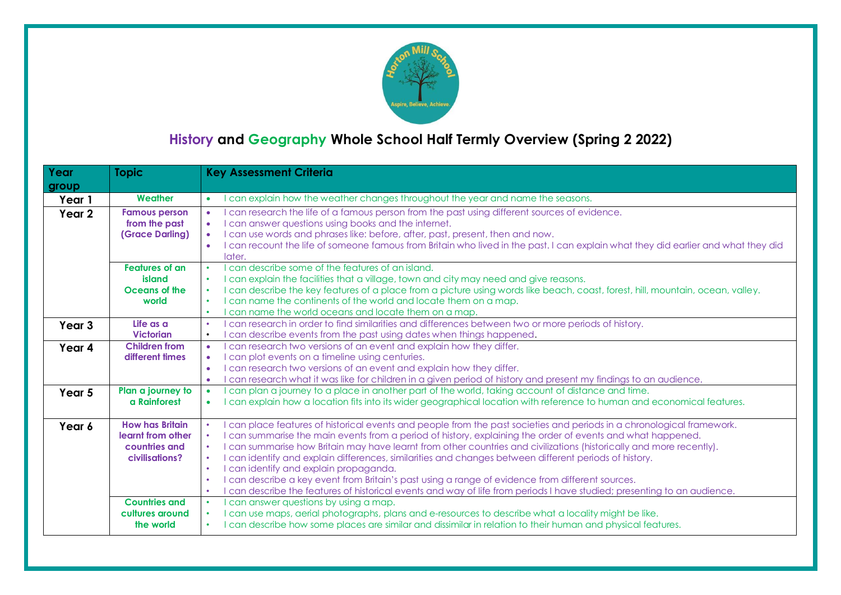

## **History and Geography Whole School Half Termly Overview (Spring 2 2022)**

| Year              | <b>Topic</b>                                                                   | <b>Key Assessment Criteria</b>                                                                                                                                                                                                                                                                                                                                                                                                                                                                                                                                                                                                                                                                                                                                                                                    |
|-------------------|--------------------------------------------------------------------------------|-------------------------------------------------------------------------------------------------------------------------------------------------------------------------------------------------------------------------------------------------------------------------------------------------------------------------------------------------------------------------------------------------------------------------------------------------------------------------------------------------------------------------------------------------------------------------------------------------------------------------------------------------------------------------------------------------------------------------------------------------------------------------------------------------------------------|
| group             |                                                                                |                                                                                                                                                                                                                                                                                                                                                                                                                                                                                                                                                                                                                                                                                                                                                                                                                   |
| Year 1            | Weather                                                                        | can explain how the weather changes throughout the year and name the seasons.<br>$\bullet$                                                                                                                                                                                                                                                                                                                                                                                                                                                                                                                                                                                                                                                                                                                        |
| Year <sub>2</sub> | <b>Famous person</b><br>from the past<br>(Grace Darling)                       | can research the life of a famous person from the past using different sources of evidence.<br>$\bullet$<br>can answer questions using books and the internet.<br>$\bullet$<br>I can use words and phrases like: before, after, past, present, then and now.<br>$\bullet$<br>I can recount the life of someone famous from Britain who lived in the past. I can explain what they did earlier and what they did<br>$\bullet$<br>later.                                                                                                                                                                                                                                                                                                                                                                            |
|                   | Features of an<br>island<br>Oceans of the<br>world                             | can describe some of the features of an island.<br>$\bullet$<br>I can explain the facilities that a village, town and city may need and give reasons.<br>$\bullet$<br>can describe the key features of a place from a picture using words like beach, coast, forest, hill, mountain, ocean, valley.<br>$\bullet$<br>can name the continents of the world and locate them on a map.<br>$\bullet$<br>can name the world oceans and locate them on a map.<br>$\bullet$                                                                                                                                                                                                                                                                                                                                               |
| Year <sub>3</sub> | Life as a<br><b>Victorian</b>                                                  | can research in order to find similarities and differences between two or more periods of history.<br>$\bullet$<br>can describe events from the past using dates when things happened.<br>$\bullet$                                                                                                                                                                                                                                                                                                                                                                                                                                                                                                                                                                                                               |
| Year 4            | <b>Children from</b><br>different times                                        | can research two versions of an event and explain how they differ.<br>$\bullet$<br>can plot events on a timeline using centuries.<br>$\bullet$<br>I can research two versions of an event and explain how they differ.<br>$\bullet$<br>can research what it was like for children in a given period of history and present my findings to an audience.<br>$\bullet$                                                                                                                                                                                                                                                                                                                                                                                                                                               |
| Year 5            | Plan a journey to<br>a Rainforest                                              | can plan a journey to a place in another part of the world, taking account of distance and time.<br>$\bullet$<br>can explain how a location fits into its wider geographical location with reference to human and economical features.<br>$\bullet$                                                                                                                                                                                                                                                                                                                                                                                                                                                                                                                                                               |
| Year 6            | <b>How has Britain</b><br>learnt from other<br>countries and<br>civilisations? | can place features of historical events and people from the past societies and periods in a chronological framework.<br>can summarise the main events from a period of history, explaining the order of events and what happened.<br>$\bullet$<br>can summarise how Britain may have learnt from other countries and civilizations (historically and more recently).<br>$\bullet$<br>can identify and explain differences, similarities and changes between different periods of history.<br>$\bullet$<br>can identify and explain propaganda.<br>$\bullet$<br>can describe a key event from Britain's past using a range of evidence from different sources.<br>$\bullet$<br>can describe the features of historical events and way of life from periods I have studied; presenting to an audience.<br>$\bullet$ |
|                   | <b>Countries and</b><br>cultures around<br>the world                           | can answer questions by using a map.<br>$\bullet$<br>can use maps, aerial photographs, plans and e-resources to describe what a locality might be like.<br>$\bullet$<br>can describe how some places are similar and dissimilar in relation to their human and physical features.<br>$\bullet$                                                                                                                                                                                                                                                                                                                                                                                                                                                                                                                    |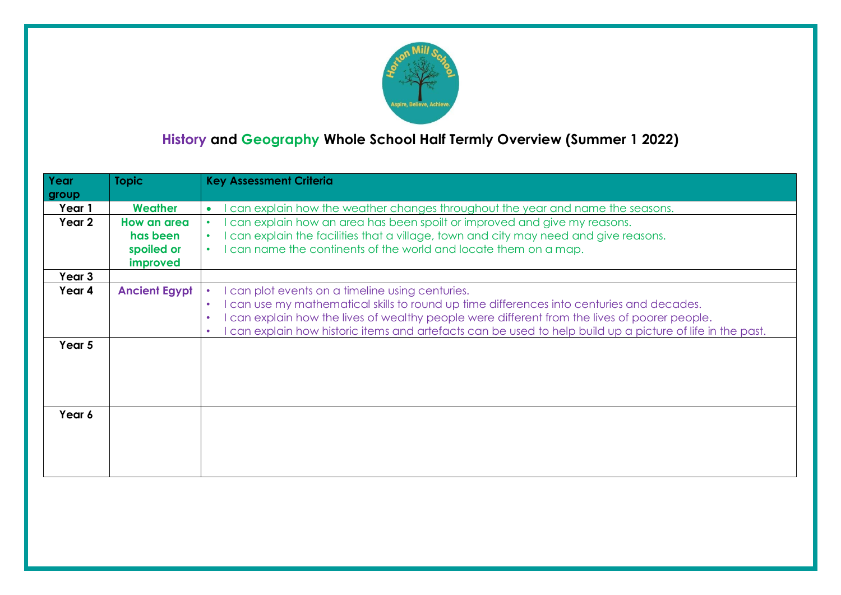

## **History and Geography Whole School Half Termly Overview (Summer 1 2022)**

| Year<br>group | <b>Topic</b>         | <b>Key Assessment Criteria</b>                                                                                                                                                                                                                                                                                                                                                              |
|---------------|----------------------|---------------------------------------------------------------------------------------------------------------------------------------------------------------------------------------------------------------------------------------------------------------------------------------------------------------------------------------------------------------------------------------------|
| Year 1        | Weather              | can explain how the weather changes throughout the year and name the seasons.<br>$\bullet$                                                                                                                                                                                                                                                                                                  |
| Year 2        | How an area          | can explain how an area has been spoilt or improved and give my reasons.<br>$\bullet$                                                                                                                                                                                                                                                                                                       |
|               | has been             | can explain the facilities that a village, town and city may need and give reasons.<br>$\bullet$                                                                                                                                                                                                                                                                                            |
|               | spoiled or           | can name the continents of the world and locate them on a map.<br>$\bullet$                                                                                                                                                                                                                                                                                                                 |
|               | improved             |                                                                                                                                                                                                                                                                                                                                                                                             |
| Year 3        |                      |                                                                                                                                                                                                                                                                                                                                                                                             |
| Year 4        | <b>Ancient Egypt</b> | can plot events on a timeline using centuries.<br>can use my mathematical skills to round up time differences into centuries and decades.<br>$\bullet$<br>can explain how the lives of wealthy people were different from the lives of poorer people.<br>$\bullet$<br>can explain how historic items and artefacts can be used to help build up a picture of life in the past.<br>$\bullet$ |
| Year 5        |                      |                                                                                                                                                                                                                                                                                                                                                                                             |
| Year 6        |                      |                                                                                                                                                                                                                                                                                                                                                                                             |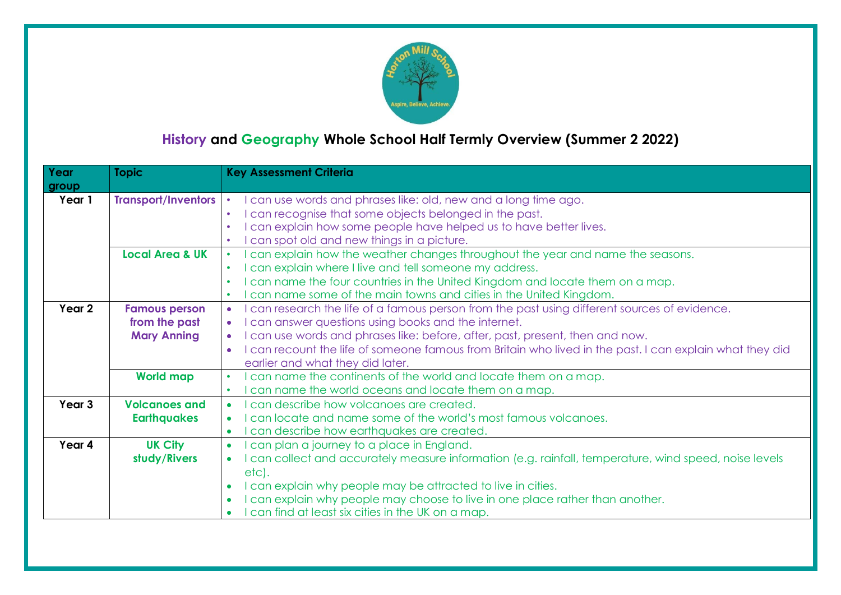

## **History and Geography Whole School Half Termly Overview (Summer 2 2022)**

| Year<br>group     | <b>Topic</b>               | <b>Key Assessment Criteria</b>                                                                                      |
|-------------------|----------------------------|---------------------------------------------------------------------------------------------------------------------|
| Year 1            | <b>Transport/Inventors</b> | I can use words and phrases like: old, new and a long time ago.<br>$\bullet$                                        |
|                   |                            | can recognise that some objects belonged in the past.<br>$\bullet$                                                  |
|                   |                            | I can explain how some people have helped us to have better lives.                                                  |
|                   |                            | can spot old and new things in a picture.<br>$\bullet$                                                              |
|                   | <b>Local Area &amp; UK</b> | I can explain how the weather changes throughout the year and name the seasons.<br>$\bullet$                        |
|                   |                            | I can explain where I live and tell someone my address.<br>$\bullet$                                                |
|                   |                            | I can name the four countries in the United Kingdom and locate them on a map.<br>$\bullet$                          |
|                   |                            | can name some of the main towns and cities in the United Kingdom.<br>$\bullet$                                      |
| Year 2            | <b>Famous person</b>       | can research the life of a famous person from the past using different sources of evidence.<br>$\bullet$            |
|                   | from the past              | I can answer questions using books and the internet.                                                                |
|                   | <b>Mary Anning</b>         | I can use words and phrases like: before, after, past, present, then and now.                                       |
|                   |                            | I can recount the life of someone famous from Britain who lived in the past. I can explain what they did            |
|                   |                            | earlier and what they did later.                                                                                    |
|                   | <b>World map</b>           | can name the continents of the world and locate them on a map.<br>$\bullet$                                         |
|                   |                            | can name the world oceans and locate them on a map.<br>$\bullet$                                                    |
| Year <sub>3</sub> | <b>Volcanoes and</b>       | can describe how volcanoes are created.<br>$\bullet$                                                                |
|                   | <b>Earthquakes</b>         | can locate and name some of the world's most famous volcanoes.<br>$\bullet$                                         |
|                   |                            | can describe how earthquakes are created.<br>$\bullet$                                                              |
| Year 4            | <b>UK City</b>             | can plan a journey to a place in England.<br>$\bullet$                                                              |
|                   | study/Rivers               | I can collect and accurately measure information (e.g. rainfall, temperature, wind speed, noise levels<br>$\bullet$ |
|                   |                            | etc).                                                                                                               |
|                   |                            | I can explain why people may be attracted to live in cities.                                                        |
|                   |                            | I can explain why people may choose to live in one place rather than another.                                       |
|                   |                            | can find at least six cities in the UK on a map.                                                                    |